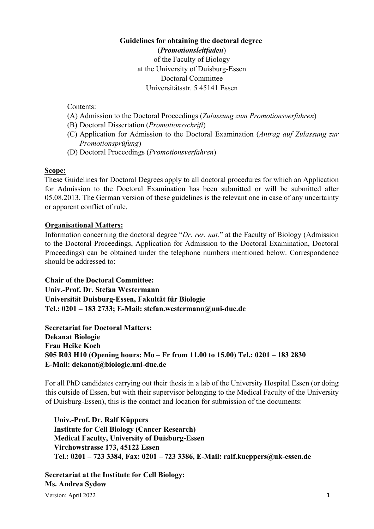### **Guidelines for obtaining the doctoral degree** (*Promotionsleitfaden*)

of the Faculty of Biology at the University of Duisburg-Essen Doctoral Committee Universitätsstr. 5 45141 Essen

Contents:

- (A) Admission to the Doctoral Proceedings (*Zulassung zum Promotionsverfahren*)
- (B) Doctoral Dissertation (*Promotionsschrift*)
- (C) Application for Admission to the Doctoral Examination (*Antrag auf Zulassung zur Promotionsprüfung*)
- (D) Doctoral Proceedings (*Promotionsverfahren*)

#### **Scope:**

These Guidelines for Doctoral Degrees apply to all doctoral procedures for which an Application for Admission to the Doctoral Examination has been submitted or will be submitted after 05.08.2013. The German version of these guidelines is the relevant one in case of any uncertainty or apparent conflict of rule.

## **Organisational Matters:**

Information concerning the doctoral degree "*Dr. rer. nat.*" at the Faculty of Biology (Admission to the Doctoral Proceedings, Application for Admission to the Doctoral Examination, Doctoral Proceedings) can be obtained under the telephone numbers mentioned below. Correspondence should be addressed to:

**Chair of the Doctoral Committee: Univ.-Prof. Dr. Stefan Westermann** 

**Universität Duisburg-Essen, Fakultät für Biologie** 

**Tel.: 0201 – 183 2733; E-Mail: stefan.westermann@uni-due.de** 

**Secretariat for Doctoral Matters: Dekanat Biologie Frau Heike Koch S05 R03 H10 (Opening hours: Mo – Fr from 11.00 to 15.00) Tel.: 0201 – 183 2830 E-Mail: dekanat@biologie.uni-due.de** 

For all PhD candidates carrying out their thesis in a lab of the University Hospital Essen (or doing this outside of Essen, but with their supervisor belonging to the Medical Faculty of the University of Duisburg-Essen), this is the contact and location for submission of the documents:

**Univ.-Prof. Dr. Ralf Küppers Institute for Cell Biology (Cancer Research) Medical Faculty, University of Duisburg-Essen Virchowstrasse 173, 45122 Essen Tel.: 0201 – 723 3384, Fax: 0201 – 723 3386, E-Mail: ralf.kueppers@uk-essen.de**

**Secretariat at the Institute for Cell Biology: Ms. Andrea Sydow**

Version: April 2022 1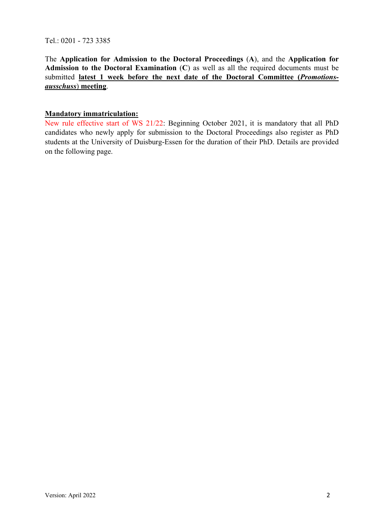Tel.: 0201 - 723 3385

The **Application for Admission to the Doctoral Proceedings** (**A**), and the **Application for Admission to the Doctoral Examination** (**C**) as well as all the required documents must be submitted **latest 1 week before the next date of the Doctoral Committee (***Promotionsausschuss*) **meeting**.

## **Mandatory immatriculation:**

New rule effective start of WS 21/22: Beginning October 2021, it is mandatory that all PhD candidates who newly apply for submission to the Doctoral Proceedings also register as PhD students at the University of Duisburg-Essen for the duration of their PhD. Details are provided on the following page.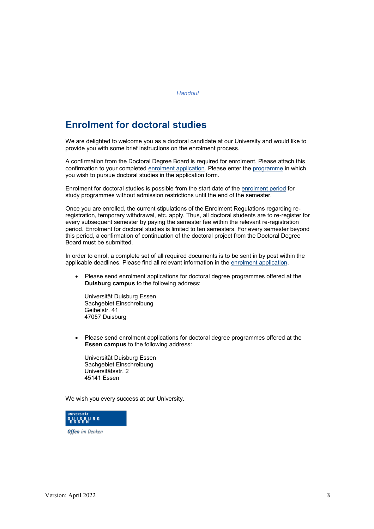*Handout*

# **Enrolment for doctoral studies**

We are delighted to welcome you as a doctoral candidate at our University and would like to provide you with some brief instructions on the enrolment process.

A confirmation from the Doctoral Degree Board is required for enrolment. Please attach this confirmation to your completed enrolment application. Please enter the programme in which you wish to pursue doctoral studies in the application form.

Enrolment for doctoral studies is possible from the start date of the enrolment period for study programmes without admission restrictions until the end of the semester.

Once you are enrolled, the current stipulations of the Enrolment Regulations regarding reregistration, temporary withdrawal, etc. apply. Thus, all doctoral students are to re-register for every subsequent semester by paying the semester fee within the relevant re-registration period. Enrolment for doctoral studies is limited to ten semesters. For every semester beyond this period, a confirmation of continuation of the doctoral project from the Doctoral Degree Board must be submitted.

In order to enrol, a complete set of all required documents is to be sent in by post within the applicable deadlines. Please find all relevant information in the enrolment application.

Please send enrolment applications for doctoral degree programmes offered at the **Duisburg campus** to the following address:

Universität Duisburg Essen Sachgebiet Einschreibung Geibelstr. 41 47057 Duisburg

Please send enrolment applications for doctoral degree programmes offered at the **Essen campus** to the following address:

Universität Duisburg Essen Sachgebiet Einschreibung Universitätsstr. 2 45141 Essen

We wish you every success at our University.



**Offen** im Denken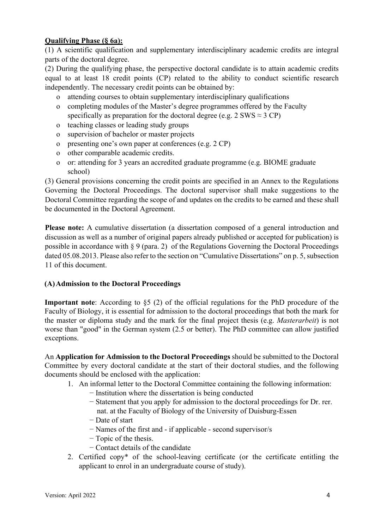## **Qualifying Phase (§ 6a):**

(1) A scientific qualification and supplementary interdisciplinary academic credits are integral parts of the doctoral degree.

(2) During the qualifying phase, the perspective doctoral candidate is to attain academic credits equal to at least 18 credit points (CP) related to the ability to conduct scientific research independently. The necessary credit points can be obtained by:

- o attending courses to obtain supplementary interdisciplinary qualifications
- o completing modules of the Master's degree programmes offered by the Faculty specifically as preparation for the doctoral degree (e.g.  $2 \text{ SWS} \approx 3 \text{ CP}$ )
- o teaching classes or leading study groups
- o supervision of bachelor or master projects
- o presenting one's own paper at conferences (e.g. 2 CP)
- o other comparable academic credits.
- o or: attending for 3 years an accredited graduate programme (e.g. BIOME graduate school)

(3) General provisions concerning the credit points are specified in an Annex to the Regulations Governing the Doctoral Proceedings. The doctoral supervisor shall make suggestions to the Doctoral Committee regarding the scope of and updates on the credits to be earned and these shall be documented in the Doctoral Agreement.

**Please note:** A cumulative dissertation (a dissertation composed of a general introduction and discussion as well as a number of original papers already published or accepted for publication) is possible in accordance with § 9 (para. 2) of the Regulations Governing the Doctoral Proceedings dated 05.08.2013. Please also refer to the section on "Cumulative Dissertations" on p. 5, subsection 11 of this document.

## **(A)Admission to the Doctoral Proceedings**

**Important note**: According to §5 (2) of the official regulations for the PhD procedure of the Faculty of Biology, it is essential for admission to the doctoral proceedings that both the mark for the master or diploma study and the mark for the final project thesis (e.g. *Masterarbeit*) is not worse than "good" in the German system (2.5 or better). The PhD committee can allow justified exceptions.

An **Application for Admission to the Doctoral Proceedings** should be submitted to the Doctoral Committee by every doctoral candidate at the start of their doctoral studies, and the following documents should be enclosed with the application:

- 1. An informal letter to the Doctoral Committee containing the following information:
	- − Institution where the dissertation is being conducted
		- − Statement that you apply for admission to the doctoral proceedings for Dr. rer. nat. at the Faculty of Biology of the University of Duisburg-Essen
		- − Date of start
		- − Names of the first and if applicable second supervisor/s
		- − Topic of the thesis.
		- − Contact details of the candidate
- 2. Certified copy\* of the school-leaving certificate (or the certificate entitling the applicant to enrol in an undergraduate course of study).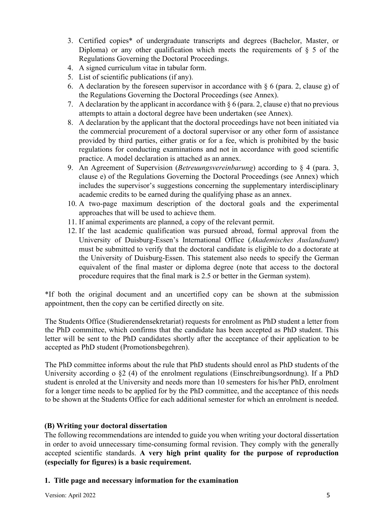- 3. Certified copies\* of undergraduate transcripts and degrees (Bachelor, Master, or Diploma) or any other qualification which meets the requirements of  $\S$  5 of the Regulations Governing the Doctoral Proceedings.
- 4. A signed curriculum vitae in tabular form.
- 5. List of scientific publications (if any).
- 6. A declaration by the foreseen supervisor in accordance with § 6 (para. 2, clause g) of the Regulations Governing the Doctoral Proceedings (see Annex).
- 7. A declaration by the applicant in accordance with  $\S 6$  (para. 2, clause e) that no previous attempts to attain a doctoral degree have been undertaken (see Annex).
- 8. A declaration by the applicant that the doctoral proceedings have not been initiated via the commercial procurement of a doctoral supervisor or any other form of assistance provided by third parties, either gratis or for a fee, which is prohibited by the basic regulations for conducting examinations and not in accordance with good scientific practice. A model declaration is attached as an annex.
- 9. An Agreement of Supervision (*Betreuungsvereinbarung*) according to § 4 (para. 3, clause e) of the Regulations Governing the Doctoral Proceedings (see Annex) which includes the supervisor's suggestions concerning the supplementary interdisciplinary academic credits to be earned during the qualifying phase as an annex.
- 10. A two-page maximum description of the doctoral goals and the experimental approaches that will be used to achieve them.
- 11. If animal experiments are planned, a copy of the relevant permit.
- 12. If the last academic qualification was pursued abroad, formal approval from the University of Duisburg-Essen's International Office (*Akademisches Auslandsamt*) must be submitted to verify that the doctoral candidate is eligible to do a doctorate at the University of Duisburg-Essen. This statement also needs to specify the German equivalent of the final master or diploma degree (note that access to the doctoral procedure requires that the final mark is 2.5 or better in the German system).

\*If both the original document and an uncertified copy can be shown at the submission appointment, then the copy can be certified directly on site.

The Students Office (Studierendensekretariat) requests for enrolment as PhD student a letter from the PhD committee, which confirms that the candidate has been accepted as PhD student. This letter will be sent to the PhD candidates shortly after the acceptance of their application to be accepted as PhD student (Promotionsbegehren).

The PhD committee informs about the rule that PhD students should enrol as PhD students of the University according o §2 (4) of the enrolment regulations (Einschreibungsordnung). If a PhD student is enroled at the University and needs more than 10 semesters for his/her PhD, enrolment for a longer time needs to be applied for by the PhD committee, and the acceptance of this needs to be shown at the Students Office for each additional semester for which an enrolment is needed.

## **(B) Writing your doctoral dissertation**

The following recommendations are intended to guide you when writing your doctoral dissertation in order to avoid unnecessary time-consuming formal revision. They comply with the generally accepted scientific standards. **A very high print quality for the purpose of reproduction (especially for figures) is a basic requirement.**

## **1. Title page and necessary information for the examination**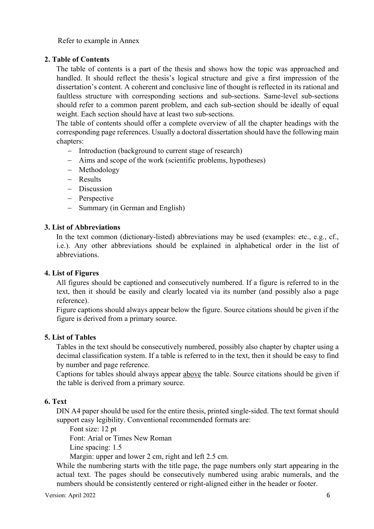Refer to example in Annex

## **2. Table of Contents**

The table of contents is a part of the thesis and shows how the topic was approached and handled. It should reflect the thesis's logical structure and give a first impression of the dissertation's content. A coherent and conclusive line of thought is reflected in its rational and faultless structure with corresponding sections and sub-sections. Same-level sub-sections should refer to a common parent problem, and each sub-section should be ideally of equal weight. Each section should have at least two sub-sections.

The table of contents should offer a complete overview of all the chapter headings with the corresponding page references. Usually a doctoral dissertation should have the following main chapters:

- Introduction (background to current stage of research)
- Aims and scope of the work (scientific problems, hypotheses)
- Methodology
- Results
- Discussion
- Perspective
- Summary (in German and English)

#### **3. List of Abbreviations**

In the text common (dictionary-listed) abbreviations may be used (examples: etc., e.g., cf., i.e.). Any other abbreviations should be explained in alphabetical order in the list of abbreviations.

#### **4. List of Figures**

All figures should be captioned and consecutively numbered. If a figure is referred to in the text, then it should be easily and clearly located via its number (and possibly also a page reference).

Figure captions should always appear below the figure. Source citations should be given if the figure is derived from a primary source.

#### **5. List of Tables**

Tables in the text should be consecutively numbered, possibly also chapter by chapter using a decimal classification system. If a table is referred to in the text, then it should be easy to find by number and page reference.

Captions for tables should always appear above the table. Source citations should be given if the table is derived from a primary source.

## **6. Text**

DIN A4 paper should be used for the entire thesis, printed single-sided. The text format should support easy legibility. Conventional recommended formats are:

Font size: 12 pt

Font: Arial or Times New Roman

Line spacing: 1.5

Margin: upper and lower 2 cm, right and left 2.5 cm.

While the numbering starts with the title page, the page numbers only start appearing in the actual text. The pages should be consecutively numbered using arabic numerals, and the numbers should be consistently centered or right-aligned either in the header or footer.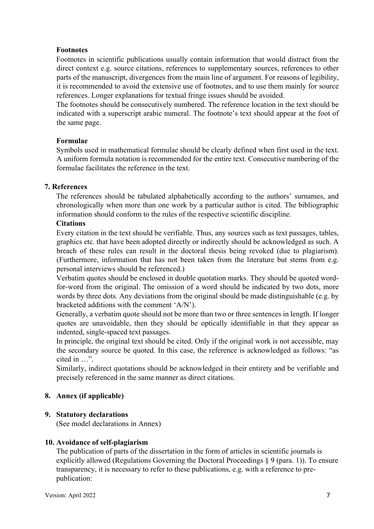## **Footnotes**

Footnotes in scientific publications usually contain information that would distract from the direct context e.g. source citations, references to supplementary sources, references to other parts of the manuscript, divergences from the main line of argument. For reasons of legibility, it is recommended to avoid the extensive use of footnotes, and to use them mainly for source references. Longer explanations for textual fringe issues should be avoided.

The footnotes should be consecutively numbered. The reference location in the text should be indicated with a superscript arabic numeral. The footnote's text should appear at the foot of the same page.

## **Formulae**

Symbols used in mathematical formulae should be clearly defined when first used in the text. A uniform formula notation is recommended for the entire text. Consecutive numbering of the formulae facilitates the reference in the text.

## **7. References**

The references should be tabulated alphabetically according to the authors' surnames, and chronologically when more than one work by a particular author is cited. The bibliographic information should conform to the rules of the respective scientific discipline.

### **Citations**

Every citation in the text should be verifiable. Thus, any sources such as text passages, tables, graphics etc. that have been adopted directly or indirectly should be acknowledged as such. A breach of these rules can result in the doctoral thesis being revoked (due to plagiarism). (Furthermore, information that has not been taken from the literature but stems from e.g. personal interviews should be referenced.)

Verbatim quotes should be enclosed in double quotation marks. They should be quoted wordfor-word from the original. The omission of a word should be indicated by two dots, more words by three dots. Any deviations from the original should be made distinguishable (e.g. by bracketed additions with the comment 'A/N').

Generally, a verbatim quote should not be more than two or three sentences in length. If longer quotes are unavoidable, then they should be optically identifiable in that they appear as indented, single-spaced text passages.

In principle, the original text should be cited. Only if the original work is not accessible, may the secondary source be quoted. In this case, the reference is acknowledged as follows: "as cited in …".

Similarly, indirect quotations should be acknowledged in their entirety and be verifiable and precisely referenced in the same manner as direct citations.

## **8. Annex (if applicable)**

#### **9. Statutory declarations**

(See model declarations in Annex)

#### **10. Avoidance of self-plagiarism**

The publication of parts of the dissertation in the form of articles in scientific journals is explicitly allowed (Regulations Governing the Doctoral Proceedings § 9 (para. 1)). To ensure transparency, it is necessary to refer to these publications, e.g. with a reference to prepublication: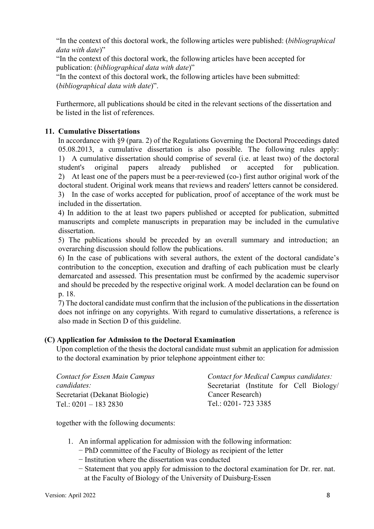"In the context of this doctoral work, the following articles were published: (*bibliographical data with date*)"

"In the context of this doctoral work, the following articles have been accepted for publication: (*bibliographical data with date*)"

"In the context of this doctoral work, the following articles have been submitted: (*bibliographical data with date*)".

Furthermore, all publications should be cited in the relevant sections of the dissertation and be listed in the list of references.

## **11. Cumulative Dissertations**

In accordance with §9 (para. 2) of the Regulations Governing the Doctoral Proceedings dated 05.08.2013, a cumulative dissertation is also possible. The following rules apply: 1) A cumulative dissertation should comprise of several (i.e. at least two) of the doctoral student's original papers already published or accepted for publication. 2) At least one of the papers must be a peer-reviewed (co-) first author original work of the doctoral student. Original work means that reviews and readers' letters cannot be considered. 3) In the case of works accepted for publication, proof of acceptance of the work must be included in the dissertation.

4) In addition to the at least two papers published or accepted for publication, submitted manuscripts and complete manuscripts in preparation may be included in the cumulative dissertation.

5) The publications should be preceded by an overall summary and introduction; an overarching discussion should follow the publications.

6) In the case of publications with several authors, the extent of the doctoral candidate's contribution to the conception, execution and drafting of each publication must be clearly demarcated and assessed. This presentation must be confirmed by the academic supervisor and should be preceded by the respective original work. A model declaration can be found on p. 18.

7) The doctoral candidate must confirm that the inclusion of the publications in the dissertation does not infringe on any copyrights. With regard to cumulative dissertations, a reference is also made in Section D of this guideline.

#### **(C) Application for Admission to the Doctoral Examination**

Upon completion of the thesis the doctoral candidate must submit an application for admission to the doctoral examination by prior telephone appointment either to:

| <b>Contact for Essen Main Campus</b> | Contact for Medical Campus candidates:   |
|--------------------------------------|------------------------------------------|
| candidates:                          | Secretariat (Institute for Cell Biology/ |
| Secretariat (Dekanat Biologie)       | Cancer Research)                         |
| Tel.: $0201 - 1832830$               | Tel.: 0201 - 723 3385                    |

together with the following documents:

- 1. An informal application for admission with the following information:
	- − PhD committee of the Faculty of Biology as recipient of the letter
	- − Institution where the dissertation was conducted
	- − Statement that you apply for admission to the doctoral examination for Dr. rer. nat. at the Faculty of Biology of the University of Duisburg-Essen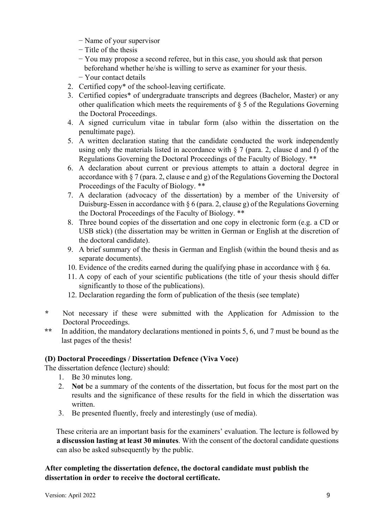- − Name of your supervisor
- − Title of the thesis
- − You may propose a second referee, but in this case, you should ask that person beforehand whether he/she is willing to serve as examiner for your thesis.
- − Your contact details
- 2. Certified copy\* of the school-leaving certificate.
- 3. Certified copies\* of undergraduate transcripts and degrees (Bachelor, Master) or any other qualification which meets the requirements of § 5 of the Regulations Governing the Doctoral Proceedings.
- 4. A signed curriculum vitae in tabular form (also within the dissertation on the penultimate page).
- 5. A written declaration stating that the candidate conducted the work independently using only the materials listed in accordance with  $\S 7$  (para. 2, clause d and f) of the Regulations Governing the Doctoral Proceedings of the Faculty of Biology. \*\*
- 6. A declaration about current or previous attempts to attain a doctoral degree in accordance with  $\S 7$  (para. 2, clause e and g) of the Regulations Governing the Doctoral Proceedings of the Faculty of Biology. \*\*
- 7. A declaration (advocacy of the dissertation) by a member of the University of Duisburg-Essen in accordance with  $\S 6$  (para. 2, clause g) of the Regulations Governing the Doctoral Proceedings of the Faculty of Biology. \*\*
- 8. Three bound copies of the dissertation and one copy in electronic form (e.g. a CD or USB stick) (the dissertation may be written in German or English at the discretion of the doctoral candidate).
- 9. A brief summary of the thesis in German and English (within the bound thesis and as separate documents).
- 10. Evidence of the credits earned during the qualifying phase in accordance with  $\S$  6a.
- 11. A copy of each of your scientific publications (the title of your thesis should differ significantly to those of the publications).
- 12. Declaration regarding the form of publication of the thesis (see template)
- **\*** Not necessary if these were submitted with the Application for Admission to the Doctoral Proceedings.
- **\*\*** In addition, the mandatory declarations mentioned in points 5, 6, und 7 must be bound as the last pages of the thesis!

## **(D) Doctoral Proceedings / Dissertation Defence (Viva Voce)**

The dissertation defence (lecture) should:

- 1. Be 30 minutes long.
- 2. **Not** be a summary of the contents of the dissertation, but focus for the most part on the results and the significance of these results for the field in which the dissertation was written.
- 3. Be presented fluently, freely and interestingly (use of media).

These criteria are an important basis for the examiners' evaluation. The lecture is followed by **a discussion lasting at least 30 minutes**. With the consent of the doctoral candidate questions can also be asked subsequently by the public.

## **After completing the dissertation defence, the doctoral candidate must publish the dissertation in order to receive the doctoral certificate.**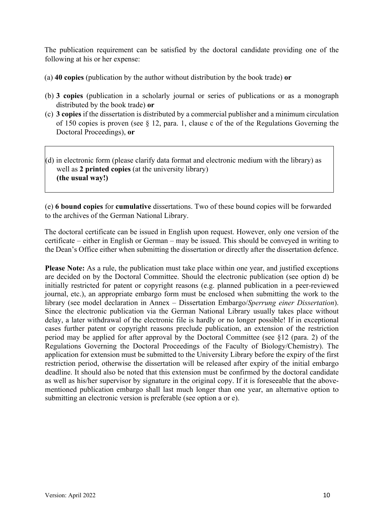The publication requirement can be satisfied by the doctoral candidate providing one of the following at his or her expense:

- (a) **40 copies** (publication by the author without distribution by the book trade) **or**
- (b) **3 copies** (publication in a scholarly journal or series of publications or as a monograph distributed by the book trade) **or**
- (c) **3 copies** if the dissertation is distributed by a commercial publisher and a minimum circulation of 150 copies is proven (see  $\S$  12, para. 1, clause c of the of the Regulations Governing the Doctoral Proceedings), **or**
- (d) in electronic form (please clarify data format and electronic medium with the library) as well as **2 printed copies** (at the university library) **(the usual way!)**

(e) **6 bound copies** for **cumulative** dissertations. Two of these bound copies will be forwarded to the archives of the German National Library.

The doctoral certificate can be issued in English upon request. However, only one version of the certificate – either in English or German – may be issued. This should be conveyed in writing to the Dean's Office either when submitting the dissertation or directly after the dissertation defence.

**Please Note:** As a rule, the publication must take place within one year, and justified exceptions are decided on by the Doctoral Committee. Should the electronic publication (see option d) be initially restricted for patent or copyright reasons (e.g. planned publication in a peer-reviewed journal, etc.), an appropriate embargo form must be enclosed when submitting the work to the library (see model declaration in Annex – Dissertation Embargo/*Sperrung einer Dissertation*). Since the electronic publication via the German National Library usually takes place without delay, a later withdrawal of the electronic file is hardly or no longer possible! If in exceptional cases further patent or copyright reasons preclude publication, an extension of the restriction period may be applied for after approval by the Doctoral Committee (see §12 (para. 2) of the Regulations Governing the Doctoral Proceedings of the Faculty of Biology/Chemistry). The application for extension must be submitted to the University Library before the expiry of the first restriction period, otherwise the dissertation will be released after expiry of the initial embargo deadline. It should also be noted that this extension must be confirmed by the doctoral candidate as well as his/her supervisor by signature in the original copy. If it is foreseeable that the abovementioned publication embargo shall last much longer than one year, an alternative option to submitting an electronic version is preferable (see option a or e).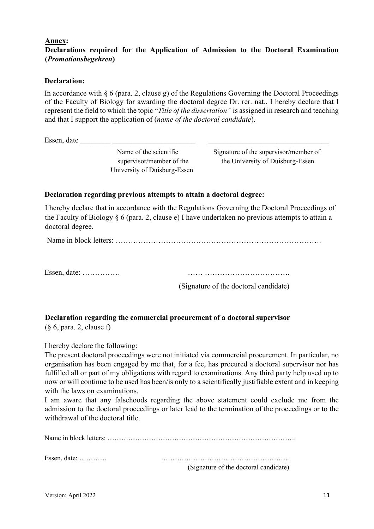#### **Annex:**

## **Declarations required for the Application of Admission to the Doctoral Examination (***Promotionsbegehren***)**

## **Declaration:**

In accordance with  $\S$  6 (para. 2, clause g) of the Regulations Governing the Doctoral Proceedings of the Faculty of Biology for awarding the doctoral degree Dr. rer. nat., I hereby declare that I represent the field to which the topic "*Title of the dissertation"* is assigned in research and teaching and that I support the application of (*name of the doctoral candidate*).

Essen, date

University of Duisburg-Essen

Name of the scientific Signature of the supervisor/member of supervisor/member of the the University of Duisburg-Essen

## **Declaration regarding previous attempts to attain a doctoral degree:**

I hereby declare that in accordance with the Regulations Governing the Doctoral Proceedings of the Faculty of Biology § 6 (para. 2, clause e) I have undertaken no previous attempts to attain a doctoral degree.

Name in block letters: ……………………………………………………………………….

Essen, date: …………… …… …………………………….

(Signature of the doctoral candidate)

# **Declaration regarding the commercial procurement of a doctoral supervisor**

(§ 6, para. 2, clause f)

I hereby declare the following:

The present doctoral proceedings were not initiated via commercial procurement. In particular, no organisation has been engaged by me that, for a fee, has procured a doctoral supervisor nor has fulfilled all or part of my obligations with regard to examinations. Any third party help used up to now or will continue to be used has been/is only to a scientifically justifiable extent and in keeping with the laws on examinations.

I am aware that any falsehoods regarding the above statement could exclude me from the admission to the doctoral proceedings or later lead to the termination of the proceedings or to the withdrawal of the doctoral title.

Name in block letters: ………………………………………………………………………. Essen, date: ………… ……………………………………………….. (Signature of the doctoral candidate)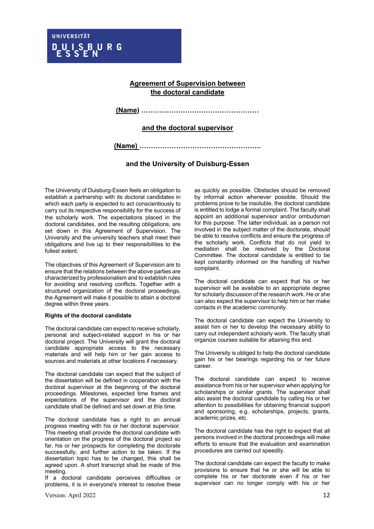#### **Agreement of Supervision between the doctoral candidate**

**(Name) ……………………………………………**

#### **and the doctoral supervisor**

**(Name) ……………………………………………..**

#### **and the University of Duisburg-Essen**

The University of Duisburg-Essen feels an obligation to establish a partnership with its doctoral candidates in which each party is expected to act conscientiously to carry out its respective responsibility for the success of the scholarly work. The expectations placed in the doctoral candidates, and the resulting obligations, are set down in this Agreement of Supervision. The University and the university teachers shall meet their obligations and live up to their responsibilities to the fullest extent.

The objectives of this Agreement of Supervision are to ensure that the relations between the above parties are characterized by professionalism and to establish rules for avoiding and resolving conflicts. Together with a structured organization of the doctoral proceedings, the Agreement will make it possible to attain a doctoral degree within three years.

#### **Rights of the doctoral candidate**

The doctoral candidate can expect to receive scholarly, personal and subject-related support in his or her doctoral project. The University will grant the doctoral candidate appropriate access to the necessary materials and will help him or her gain access to sources and materials at other locations if necessary.

The doctoral candidate can expect that the subject of the dissertation will be defined in cooperation with the doctoral supervisor at the beginning of the doctoral proceedings. Milestones, expected time frames and expectations of the supervisor and the doctoral candidate shall be defined and set down at this time.

The doctoral candidate has a right to an annual progress meeting with his or her doctoral supervisor. This meeting shall provide the doctoral candidate with orientation on the progress of the doctoral project so far, his or her prospects for completing the doctorate successfully, and further action to be taken. If the dissertation topic has to be changed, this shall be agreed upon. A short transcript shall be made of this meeting.

If a doctoral candidate perceives difficulties or problems, it is in everyone's interest to resolve these

Version: April 2022 12

as quickly as possible. Obstacles should be removed by informal action whenever possible. Should the problems prove to be insoluble, the doctoral candidate is entitled to lodge a formal complaint. The faculty shall appoint an additional supervisor and/or ombudsman for this purpose. The latter individual, as a person not involved in the subject matter of the doctorate, should be able to resolve conflicts and ensure the progress of the scholarly work. Conflicts that do not yield to mediation shall be resolved by the Doctoral Committee. The doctoral candidate is entitled to be kept constantly informed on the handling of his/her complaint.

The doctoral candidate can expect that his or her supervisor will be available to an appropriate degree for scholarly discussion of the research work. He or she can also expect the supervisor to help him or her make contacts in the academic community.

The doctoral candidate can expect the University to assist him or her to develop the necessary ability to carry out independent scholarly work. The faculty shall organize courses suitable for attaining this end.

The University is obliged to help the doctoral candidate gain his or her bearings regarding his or her future career.

The doctoral candidate can expect to receive assistance from his or her supervisor when applying for scholarships or similar grants. The supervisor shall also assist the doctoral candidate by calling his or her attention to possibilities for obtaining financial support and sponsoring, e.g. scholarships, projects, grants, academic prizes, etc.

The doctoral candidate has the right to expect that all persons involved in the doctoral proceedings will make efforts to ensure that the evaluation and examination procedures are carried out speedily.

The doctoral candidate can expect the faculty to make provisions to ensure that he or she will be able to complete his or her doctorate even if his or her supervisor can no longer comply with his or her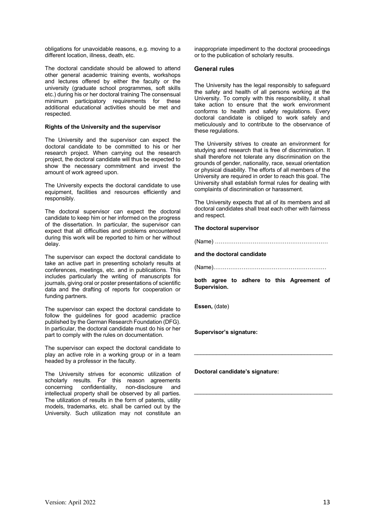obligations for unavoidable reasons, e.g. moving to a different location, illness, death, etc.

The doctoral candidate should be allowed to attend other general academic training events, workshops and lectures offered by either the faculty or the university (graduate school programmes, soft skills etc.) during his or her doctoral training The consensual minimum participatory requirements for these additional educational activities should be met and respected.

#### **Rights of the University and the supervisor**

The University and the supervisor can expect the doctoral candidate to be committed to his or her research project. When carrying out the research project, the doctoral candidate will thus be expected to show the necessary commitment and invest the amount of work agreed upon.

The University expects the doctoral candidate to use equipment, facilities and resources efficiently and responsibly.

The doctoral supervisor can expect the doctoral candidate to keep him or her informed on the progress of the dissertation. In particular, the supervisor can expect that all difficulties and problems encountered during this work will be reported to him or her without delay.

The supervisor can expect the doctoral candidate to take an active part in presenting scholarly results at conferences, meetings, etc. and in publications. This includes particularly the writing of manuscripts for journals, giving oral or poster presentations of scientific data and the drafting of reports for cooperation or funding partners.

The supervisor can expect the doctoral candidate to follow the guidelines for good academic practice published by the German Research Foundation (DFG). In particular, the doctoral candidate must do his or her part to comply with the rules on documentation.

The supervisor can expect the doctoral candidate to play an active role in a working group or in a team headed by a professor in the faculty.

The University strives for economic utilization of scholarly results. For this reason agreements concerning confidentiality, non-disclosure and intellectual property shall be observed by all parties. The utilization of results in the form of patents, utility models, trademarks, etc. shall be carried out by the University. Such utilization may not constitute an

inappropriate impediment to the doctoral proceedings or to the publication of scholarly results.

#### **General rules**

The University has the legal responsibly to safeguard the safety and health of all persons working at the University. To comply with this responsibility, it shall take action to ensure that the work environment conforms to health and safety regulations. Every doctoral candidate is obliged to work safely and meticulously and to contribute to the observance of these regulations.

The University strives to create an environment for studying and research that is free of discrimination. It shall therefore not tolerate any discrimination on the grounds of gender, nationality, race, sexual orientation or physical disability. The efforts of all members of the University are required in order to reach this goal. The University shall establish formal rules for dealing with complaints of discrimination or harassment.

The University expects that all of its members and all doctoral candidates shall treat each other with fairness and respect.

#### **The doctoral supervisor**

(Name) ……………………………………………………

#### **and the doctoral candidate**

(Name)……………………………………………………

**both agree to adhere to this Agreement of Supervision.** 

\_\_\_\_\_\_\_\_\_\_\_\_\_\_\_\_\_\_\_\_\_\_\_\_\_\_\_\_\_\_\_\_\_\_\_\_\_\_\_\_\_\_\_\_

\_\_\_\_\_\_\_\_\_\_\_\_\_\_\_\_\_\_\_\_\_\_\_\_\_\_\_\_\_\_\_\_\_\_\_\_\_\_\_\_\_\_\_\_

**Essen,** (date)

**Supervisor's signature:**

**Doctoral candidate's signature:**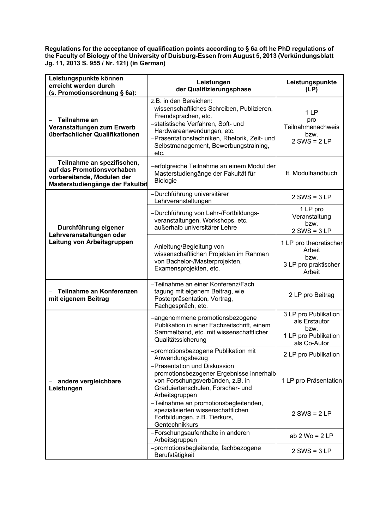**Regulations for the acceptance of qualification points according to § 6a oft he PhD regulations of the Faculty of Biology of the University of Duisburg-Essen from August 5, 2013 (Verkündungsblatt Jg. 11, 2013 S. 955 / Nr. 121) (in German)**

| Leistungspunkte können<br>erreicht werden durch<br>(s. Promotionsordnung § 6a):                                           | Leistungen<br>der Qualifizierungsphase                                                                                                                                                                                                                           | Leistungspunkte<br>(LP)                                                               |
|---------------------------------------------------------------------------------------------------------------------------|------------------------------------------------------------------------------------------------------------------------------------------------------------------------------------------------------------------------------------------------------------------|---------------------------------------------------------------------------------------|
| Teilnahme an<br>Veranstaltungen zum Erwerb<br>überfachlicher Qualifikationen                                              | z.B. in den Bereichen:<br>-wissenschaftliches Schreiben, Publizieren,<br>Fremdsprachen, etc.<br>-statistische Verfahren, Soft- und<br>Hardwareanwendungen, etc.<br>-Präsentationstechniken, Rhetorik, Zeit- und<br>Selbstmanagement, Bewerbungstraining,<br>etc. | 1 LP<br>pro<br>Teilnahmenachweis<br>bzw.<br>$2$ SWS = $2$ LP                          |
| Teilnahme an spezifischen,<br>auf das Promotionsvorhaben<br>vorbereitende, Modulen der<br>Masterstudiengänge der Fakultät | -erfolgreiche Teilnahme an einem Modul der<br>Masterstudiengänge der Fakultät für<br><b>Biologie</b>                                                                                                                                                             | It. Modulhandbuch                                                                     |
|                                                                                                                           | -Durchführung universitärer<br>Lehrveranstaltungen                                                                                                                                                                                                               | $2$ SWS = $3$ LP                                                                      |
| Durchführung eigener<br>Lehrveranstaltungen oder<br>Leitung von Arbeitsgruppen                                            | -Durchführung von Lehr-/Fortbildungs-<br>veranstaltungen, Workshops, etc.<br>außerhalb universitärer Lehre                                                                                                                                                       | 1 LP pro<br>Veranstaltung<br>bzw.<br>$2$ SWS = $3$ LP                                 |
|                                                                                                                           | -Anleitung/Begleitung von<br>wissenschaftlichen Projekten im Rahmen<br>von Bachelor-/Masterprojekten,<br>Examensprojekten, etc.                                                                                                                                  | 1 LP pro theoretischer<br>Arbeit<br>bzw.<br>3 LP pro praktischer<br>Arbeit            |
| Teilnahme an Konferenzen<br>mit eigenem Beitrag                                                                           | -Teilnahme an einer Konferenz/Fach<br>tagung mit eigenem Beitrag, wie<br>Posterpräsentation, Vortrag,<br>Fachgespräch, etc.                                                                                                                                      | 2 LP pro Beitrag                                                                      |
| andere vergleichbare<br>Leistungen                                                                                        | -angenommene promotionsbezogene<br>Publikation in einer Fachzeitschrift, einem<br>Sammelband, etc. mit wissenschaftlicher<br>Qualitätssicherung                                                                                                                  | 3 LP pro Publikation<br>als Erstautor<br>bzw.<br>1 LP pro Publikation<br>als Co-Autor |
|                                                                                                                           | -promotionsbezogene Publikation mit<br>Anwendungsbezug                                                                                                                                                                                                           | 2 LP pro Publikation                                                                  |
|                                                                                                                           | -Präsentation und Diskussion<br>promotionsbezogener Ergebnisse innerhalb<br>von Forschungsverbünden, z.B. in<br>Graduiertenschulen, Forscher- und<br>Arbeitsgruppen                                                                                              | 1 LP pro Präsentation                                                                 |
|                                                                                                                           | -Teilnahme an promotionsbegleitenden,<br>spezialisierten wissenschaftlichen<br>Fortbildungen, z.B. Tierkurs,<br>Gentechnikkurs                                                                                                                                   | $2$ SWS = $2$ LP                                                                      |
|                                                                                                                           | -Forschungsaufenthalte in anderen<br>Arbeitsgruppen                                                                                                                                                                                                              | ab $2$ Wo = $2$ LP                                                                    |
|                                                                                                                           | -promotionsbegleitende, fachbezogene<br>Berufstätigkeit                                                                                                                                                                                                          | $2$ SWS = $3$ LP                                                                      |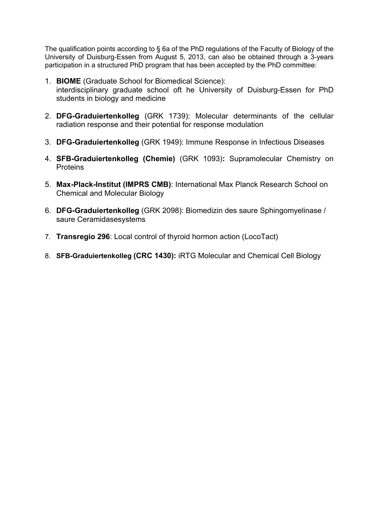The qualification points according to § 6a of the PhD regulations of the Faculty of Biology of the University of Duisburg-Essen from August 5, 2013, can also be obtained through a 3-years participation in a structured PhD program that has been accepted by the PhD committee:

- 1. **BIOME** (Graduate School for Biomedical Science): interdisciplinary graduate school oft he University of Duisburg-Essen for PhD students in biology and medicine
- 2. **DFG-Graduiertenkolleg** (GRK 1739): Molecular determinants of the cellular radiation response and their potential for response modulation
- 3. **DFG-Graduiertenkolleg** (GRK 1949): Immune Response in Infectious Diseases
- 4. **SFB-Graduiertenkolleg (Chemie)** (GRK 1093)**:** Supramolecular Chemistry on **Proteins**
- 5. **Max-Plack-Institut (IMPRS CMB)**: International Max Planck Research School on Chemical and Molecular Biology
- 6. **DFG-Graduiertenkolleg** (GRK 2098): Biomedizin des saure Sphingomyelinase / saure Ceramidasesystems
- 7. **Transregio 296**: Local control of thyroid hormon action (LocoTact)
- 8. **SFB-Graduiertenkolleg (CRC 1430):** iRTG Molecular and Chemical Cell Biology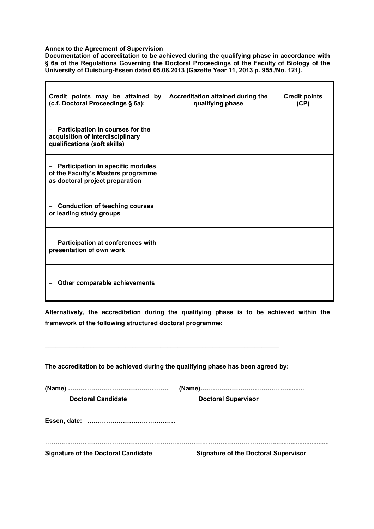#### **Annex to the Agreement of Supervision**

 $\blacksquare$ 

**Documentation of accreditation to be achieved during the qualifying phase in accordance with § 6a of the Regulations Governing the Doctoral Proceedings of the Faculty of Biology of the University of Duisburg-Essen dated 05.08.2013 (Gazette Year 11, 2013 p. 955./No. 121).**

| Credit points may be attained by<br>(c.f. Doctoral Proceedings § 6a):                                             | Accreditation attained during the<br>qualifying phase | <b>Credit points</b><br>(CP) |
|-------------------------------------------------------------------------------------------------------------------|-------------------------------------------------------|------------------------------|
| Participation in courses for the<br>acquisition of interdisciplinary<br>qualifications (soft skills)              |                                                       |                              |
| <b>Participation in specific modules</b><br>of the Faculty's Masters programme<br>as doctoral project preparation |                                                       |                              |
| <b>Conduction of teaching courses</b><br>or leading study groups                                                  |                                                       |                              |
| Participation at conferences with<br>presentation of own work                                                     |                                                       |                              |
| Other comparable achievements                                                                                     |                                                       |                              |

**Alternatively, the accreditation during the qualifying phase is to be achieved within the framework of the following structured doctoral programme:**

**The accreditation to be achieved during the qualifying phase has been agreed by:**

**\_\_\_\_\_\_\_\_\_\_\_\_\_\_\_\_\_\_\_\_\_\_\_\_\_\_\_\_\_\_\_\_\_\_\_\_\_\_\_\_\_\_\_\_\_\_\_\_\_\_\_\_\_\_\_\_\_\_\_\_\_\_\_\_\_\_\_**

| <b>Doctoral Candidate</b>                  | <b>Doctoral Supervisor</b>                  |
|--------------------------------------------|---------------------------------------------|
|                                            |                                             |
| <b>Signature of the Doctoral Candidate</b> | <b>Signature of the Doctoral Supervisor</b> |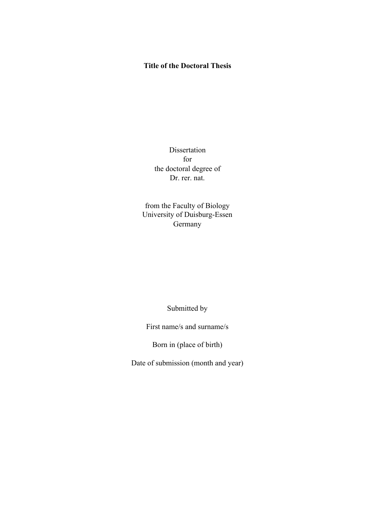## **Title of the Doctoral Thesis**

Dissertation for the doctoral degree of Dr. rer. nat.

from the Faculty of Biology University of Duisburg-Essen Germany

Submitted by

First name/s and surname/s

Born in (place of birth)

Date of submission (month and year)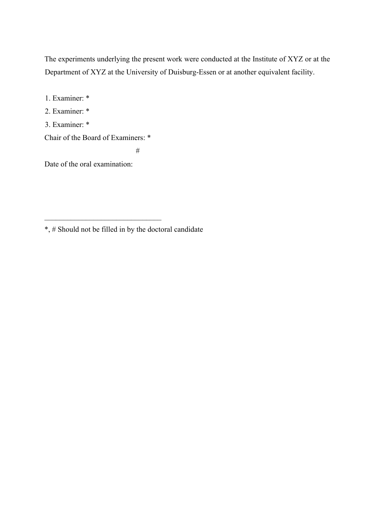The experiments underlying the present work were conducted at the Institute of XYZ or at the Department of XYZ at the University of Duisburg-Essen or at another equivalent facility.

1. Examiner: \*

2. Examiner: \*

3. Examiner: \*

Chair of the Board of Examiners: \*

#

Date of the oral examination:

<sup>\*, #</sup> Should not be filled in by the doctoral candidate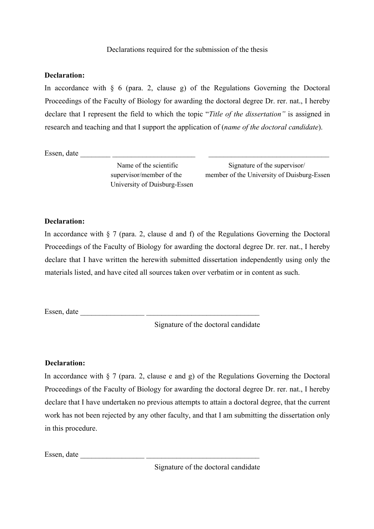### **Declaration:**

In accordance with  $\S$  6 (para. 2, clause g) of the Regulations Governing the Doctoral Proceedings of the Faculty of Biology for awarding the doctoral degree Dr. rer. nat., I hereby declare that I represent the field to which the topic "*Title of the dissertation"* is assigned in research and teaching and that I support the application of (*name of the doctoral candidate*).

Essen, date  $\frac{1}{\sqrt{1-\frac{1}{2}}}\frac{1}{\sqrt{1-\frac{1}{2}}}\frac{1}{\sqrt{1-\frac{1}{2}}}\frac{1}{\sqrt{1-\frac{1}{2}}}\frac{1}{\sqrt{1-\frac{1}{2}}}\frac{1}{\sqrt{1-\frac{1}{2}}}\frac{1}{\sqrt{1-\frac{1}{2}}}\frac{1}{\sqrt{1-\frac{1}{2}}}\frac{1}{\sqrt{1-\frac{1}{2}}}\frac{1}{\sqrt{1-\frac{1}{2}}}\frac{1}{\sqrt{1-\frac{1}{2}}}\frac{1}{\sqrt{1-\frac{1}{2}}}\frac{1}{\sqrt{1-\frac{1}{2}}$ 

University of Duisburg-Essen

Name of the scientific Signature of the supervisor/ supervisor/member of the member of the University of Duisburg-Essen

## **Declaration:**

In accordance with § 7 (para. 2, clause d and f) of the Regulations Governing the Doctoral Proceedings of the Faculty of Biology for awarding the doctoral degree Dr. rer. nat., I hereby declare that I have written the herewith submitted dissertation independently using only the materials listed, and have cited all sources taken over verbatim or in content as such.

Essen, date \_\_\_\_\_\_\_\_\_\_\_\_\_\_\_\_\_ \_\_\_\_\_\_\_\_\_\_\_\_\_\_\_\_\_\_\_\_\_\_\_\_\_\_\_\_\_\_

Signature of the doctoral candidate

#### **Declaration:**

In accordance with  $\S 7$  (para. 2, clause e and g) of the Regulations Governing the Doctoral Proceedings of the Faculty of Biology for awarding the doctoral degree Dr. rer. nat., I hereby declare that I have undertaken no previous attempts to attain a doctoral degree, that the current work has not been rejected by any other faculty, and that I am submitting the dissertation only in this procedure.

Essen, date \_\_\_\_\_\_\_\_\_\_\_\_\_\_\_\_\_ \_\_\_\_\_\_\_\_\_\_\_\_\_\_\_\_\_\_\_\_\_\_\_\_\_\_\_\_\_\_

Signature of the doctoral candidate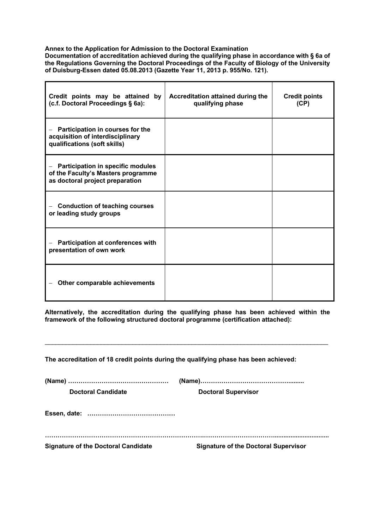#### **Annex to the Application for Admission to the Doctoral Examination**

**Documentation of accreditation achieved during the qualifying phase in accordance with § 6a of the Regulations Governing the Doctoral Proceedings of the Faculty of Biology of the University of Duisburg-Essen dated 05.08.2013 (Gazette Year 11, 2013 p. 955/No. 121).**

| Credit points may be attained by<br>(c.f. Doctoral Proceedings § 6a):                                                                         | Accreditation attained during the<br>qualifying phase | <b>Credit points</b><br>(CP) |
|-----------------------------------------------------------------------------------------------------------------------------------------------|-------------------------------------------------------|------------------------------|
| Participation in courses for the<br>acquisition of interdisciplinary<br>qualifications (soft skills)                                          |                                                       |                              |
| <b>Participation in specific modules</b><br>$\overline{\phantom{0}}$<br>of the Faculty's Masters programme<br>as doctoral project preparation |                                                       |                              |
| <b>Conduction of teaching courses</b><br>or leading study groups                                                                              |                                                       |                              |
| Participation at conferences with<br>presentation of own work                                                                                 |                                                       |                              |
| Other comparable achievements                                                                                                                 |                                                       |                              |

**Alternatively, the accreditation during the qualifying phase has been achieved within the framework of the following structured doctoral programme (certification attached):**

\_\_\_\_\_\_\_\_\_\_\_\_\_\_\_\_\_\_\_\_\_\_\_\_\_\_\_\_\_\_\_\_\_\_\_\_\_\_\_\_\_\_\_\_\_\_\_\_\_\_\_\_\_\_\_\_\_\_\_\_\_\_\_\_\_\_\_\_\_\_\_\_\_\_\_\_\_\_\_\_\_

**The accreditation of 18 credit points during the qualifying phase has been achieved:**

| <b>Doctoral Candidate</b>                  | <b>Doctoral Supervisor</b>                  |
|--------------------------------------------|---------------------------------------------|
|                                            |                                             |
| <b>Signature of the Doctoral Candidate</b> | <b>Signature of the Doctoral Supervisor</b> |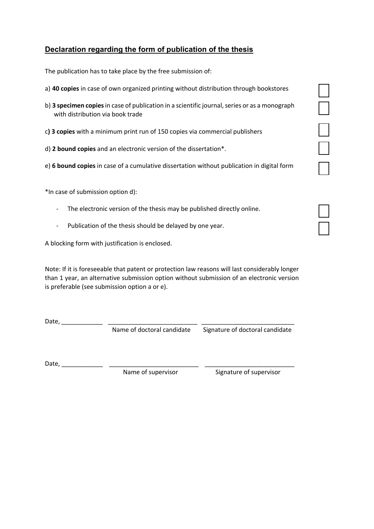## **Declaration regarding the form of publication of the thesis**

The publication has to take place by the free submission of:

- a) **40 copies** in case of own organized printing without distribution through bookstores
- b) **3 specimen copies**in case of publication in a scientific journal, series or as a monograph with distribution via book trade
- c**) 3 copies** with a minimum print run of 150 copies via commercial publishers
- d) **2 bound copies** and an electronic version of the dissertation\*.
- e) **6 bound copies** in case of a cumulative dissertation without publication in digital form

\*In case of submission option d):

- The electronic version of the thesis may be published directly online.
- Publication of the thesis should be delayed by one year.

A blocking form with justification is enclosed.

Note: If it is foreseeable that patent or protection law reasons will last considerably longer than 1 year, an alternative submission option without submission of an electronic version is preferable (see submission option a or e).

Date, \_\_\_\_\_\_\_\_\_\_\_\_ \_\_\_\_\_\_\_\_\_\_\_\_\_\_\_\_\_\_\_\_\_\_\_\_\_\_ \_\_\_\_\_\_\_\_\_\_\_\_\_\_\_\_\_\_\_\_\_\_\_\_\_\_\_

Name of doctoral candidate Signature of doctoral candidate

Date, \_\_\_\_\_\_\_\_\_\_\_\_ \_\_\_\_\_\_\_\_\_\_\_\_\_\_\_\_\_\_\_\_\_\_\_\_\_\_ \_\_\_\_\_\_\_\_\_\_\_\_\_\_\_\_\_\_\_\_\_\_\_\_\_\_

Name of supervisor Signature of supervisor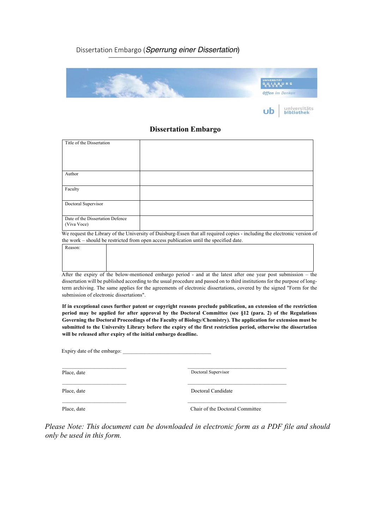## Dissertation Embargo (*Sperrung einer Dissertation*)



#### **Dissertation Embargo**

| Title of the Dissertation        |                                                                           |
|----------------------------------|---------------------------------------------------------------------------|
|                                  |                                                                           |
|                                  |                                                                           |
|                                  |                                                                           |
|                                  |                                                                           |
| Author                           |                                                                           |
|                                  |                                                                           |
| Faculty                          |                                                                           |
|                                  |                                                                           |
| Doctoral Supervisor              |                                                                           |
|                                  |                                                                           |
| Date of the Dissertation Defence |                                                                           |
| (Viva Voce)                      |                                                                           |
|                                  | m administration control on the data that the district and a<br>$\bullet$ |

We request the Library of the University of Duisburg-Essen that all required copies - including the electronic version of the work – should be restricted from open access publication until the specified date.

| Reason: |                                                                                                                      |
|---------|----------------------------------------------------------------------------------------------------------------------|
|         |                                                                                                                      |
|         |                                                                                                                      |
|         |                                                                                                                      |
|         | A Arm the consider of the bellow proutineed configure a said 4 and ot the latest often and cream again authorization |

After the expiry of the below-mentioned embargo period - and at the latest after one year post submission – the dissertation will be published according to the usual procedure and passed on to third institutions for the purpose of longterm archiving. The same applies for the agreements of electronic dissertations, covered by the signed "Form for the submission of electronic dissertations".

**If in exceptional cases further patent or copyright reasons preclude publication, an extension of the restriction period may be applied for after approval by the Doctoral Committee (see §12 (para. 2) of the Regulations Governing the Doctoral Proceedings of the Faculty of Biology/Chemistry). The application for extension must be submitted to the University Library before the expiry of the first restriction period, otherwise the dissertation will be released after expiry of the initial embargo deadline.**

Expiry date of the embargo:

Place, date Doctoral Supervisor

Place, date Doctoral Candidate

Place, date Chair of the Doctoral Committee

*Please Note: This document can be downloaded in electronic form as a PDF file and should only be used in this form.*